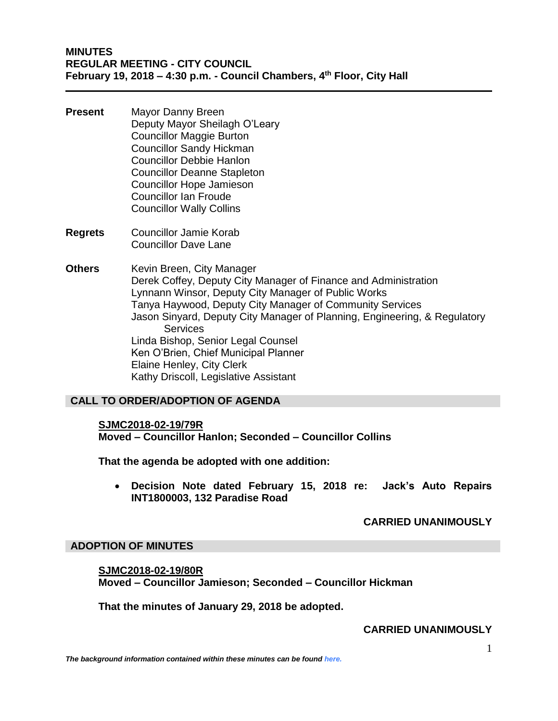- **Present** Mayor Danny Breen Deputy Mayor Sheilagh O'Leary Councillor Maggie Burton Councillor Sandy Hickman Councillor Debbie Hanlon Councillor Deanne Stapleton Councillor Hope Jamieson Councillor Ian Froude Councillor Wally Collins
- **Regrets** Councillor Jamie Korab Councillor Dave Lane
- **Others** Kevin Breen, City Manager Derek Coffey, Deputy City Manager of Finance and Administration Lynnann Winsor, Deputy City Manager of Public Works Tanya Haywood, Deputy City Manager of Community Services Jason Sinyard, Deputy City Manager of Planning, Engineering, & Regulatory **Services** Linda Bishop, Senior Legal Counsel Ken O'Brien, Chief Municipal Planner Elaine Henley, City Clerk Kathy Driscoll, Legislative Assistant

# **CALL TO ORDER/ADOPTION OF AGENDA**

#### **SJMC2018-02-19/79R**

**Moved – Councillor Hanlon; Seconded – Councillor Collins**

**That the agenda be adopted with one addition:**

 **Decision Note dated February 15, 2018 re: Jack's Auto Repairs INT1800003, 132 Paradise Road**

### **CARRIED UNANIMOUSLY**

### **ADOPTION OF MINUTES**

**SJMC2018-02-19/80R Moved – Councillor Jamieson; Seconded – Councillor Hickman**

**That the minutes of January 29, 2018 be adopted.**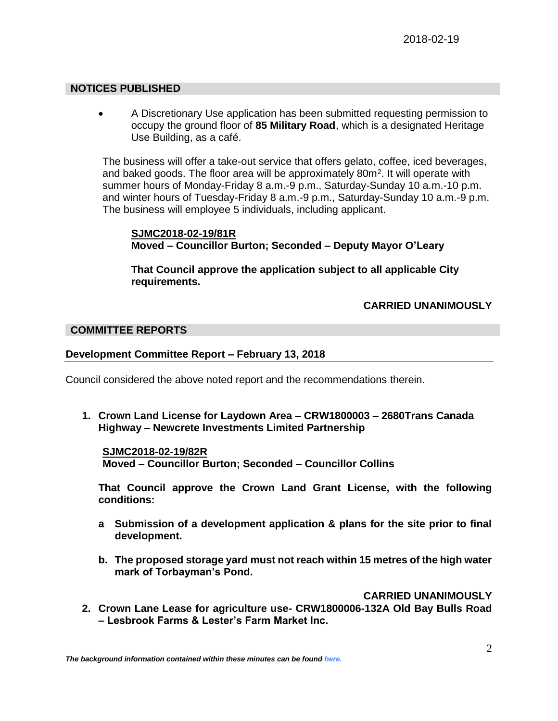## **NOTICES PUBLISHED**

 A Discretionary Use application has been submitted requesting permission to occupy the ground floor of **85 Military Road**, which is a designated Heritage Use Building, as a café.

The business will offer a take-out service that offers gelato, coffee, iced beverages, and baked goods. The floor area will be approximately 80m<sup>2</sup>. It will operate with summer hours of Monday-Friday 8 a.m.-9 p.m., Saturday-Sunday 10 a.m.-10 p.m. and winter hours of Tuesday-Friday 8 a.m.-9 p.m., Saturday-Sunday 10 a.m.-9 p.m. The business will employee 5 individuals, including applicant.

### **SJMC2018-02-19/81R Moved – Councillor Burton; Seconded – Deputy Mayor O'Leary**

**That Council approve the application subject to all applicable City requirements.**

# **CARRIED UNANIMOUSLY**

### **COMMITTEE REPORTS**

## **Development Committee Report – February 13, 2018**

Council considered the above noted report and the recommendations therein.

**1. Crown Land License for Laydown Area – CRW1800003 – 2680Trans Canada Highway – Newcrete Investments Limited Partnership**

**SJMC2018-02-19/82R Moved – Councillor Burton; Seconded – Councillor Collins**

**That Council approve the Crown Land Grant License, with the following conditions:**

- **a Submission of a development application & plans for the site prior to final development.**
- **b. The proposed storage yard must not reach within 15 metres of the high water mark of Torbayman's Pond.**

## **CARRIED UNANIMOUSLY**

**2. Crown Lane Lease for agriculture use- CRW1800006-132A Old Bay Bulls Road – Lesbrook Farms & Lester's Farm Market Inc.**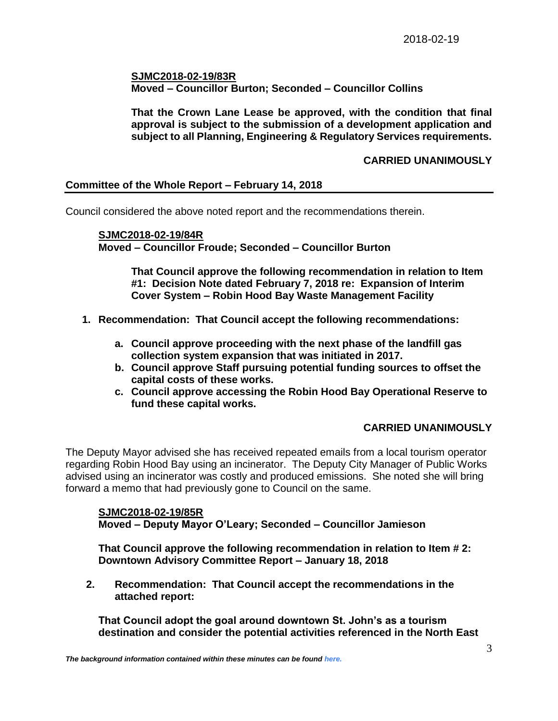## **SJMC2018-02-19/83R Moved – Councillor Burton; Seconded – Councillor Collins**

**That the Crown Lane Lease be approved, with the condition that final approval is subject to the submission of a development application and subject to all Planning, Engineering & Regulatory Services requirements.**

## **CARRIED UNANIMOUSLY**

## **Committee of the Whole Report – February 14, 2018**

Council considered the above noted report and the recommendations therein.

**SJMC2018-02-19/84R Moved – Councillor Froude; Seconded – Councillor Burton**

> **That Council approve the following recommendation in relation to Item #1: Decision Note dated February 7, 2018 re: Expansion of Interim Cover System – Robin Hood Bay Waste Management Facility**

- **1. Recommendation: That Council accept the following recommendations:**
	- **a. Council approve proceeding with the next phase of the landfill gas collection system expansion that was initiated in 2017.**
	- **b. Council approve Staff pursuing potential funding sources to offset the capital costs of these works.**
	- **c. Council approve accessing the Robin Hood Bay Operational Reserve to fund these capital works.**

## **CARRIED UNANIMOUSLY**

The Deputy Mayor advised she has received repeated emails from a local tourism operator regarding Robin Hood Bay using an incinerator. The Deputy City Manager of Public Works advised using an incinerator was costly and produced emissions. She noted she will bring forward a memo that had previously gone to Council on the same.

### **SJMC2018-02-19/85R Moved – Deputy Mayor O'Leary; Seconded – Councillor Jamieson**

**That Council approve the following recommendation in relation to Item # 2: Downtown Advisory Committee Report – January 18, 2018**

**2. Recommendation: That Council accept the recommendations in the attached report:**

**That Council adopt the goal around downtown St. John's as a tourism destination and consider the potential activities referenced in the North East**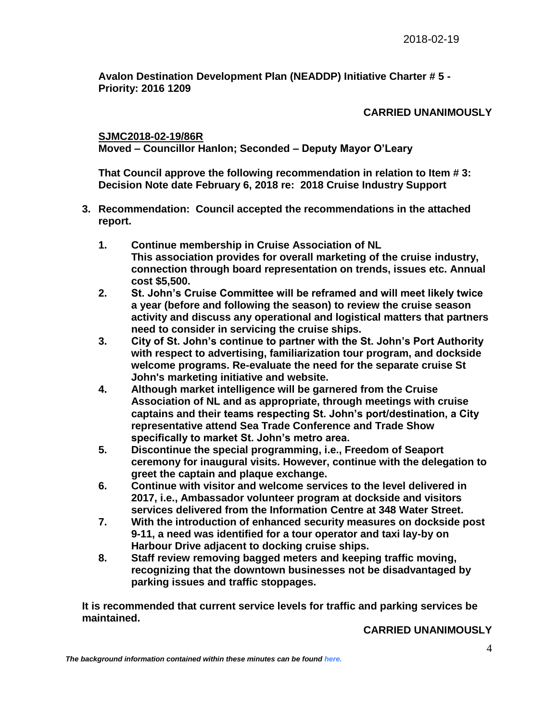**Avalon Destination Development Plan (NEADDP) Initiative Charter # 5 - Priority: 2016 1209**

# **CARRIED UNANIMOUSLY**

**SJMC2018-02-19/86R**

**Moved – Councillor Hanlon; Seconded – Deputy Mayor O'Leary**

**That Council approve the following recommendation in relation to Item # 3: Decision Note date February 6, 2018 re: 2018 Cruise Industry Support**

- **3. Recommendation: Council accepted the recommendations in the attached report.**
	- **1. Continue membership in Cruise Association of NL This association provides for overall marketing of the cruise industry, connection through board representation on trends, issues etc. Annual cost \$5,500.**
	- **2. St. John's Cruise Committee will be reframed and will meet likely twice a year (before and following the season) to review the cruise season activity and discuss any operational and logistical matters that partners need to consider in servicing the cruise ships.**
	- **3. City of St. John's continue to partner with the St. John's Port Authority with respect to advertising, familiarization tour program, and dockside welcome programs. Re-evaluate the need for the separate cruise St John's marketing initiative and website.**
	- **4. Although market intelligence will be garnered from the Cruise Association of NL and as appropriate, through meetings with cruise captains and their teams respecting St. John's port/destination, a City representative attend Sea Trade Conference and Trade Show specifically to market St. John's metro area.**
	- **5. Discontinue the special programming, i.e., Freedom of Seaport ceremony for inaugural visits. However, continue with the delegation to greet the captain and plaque exchange.**
	- **6. Continue with visitor and welcome services to the level delivered in 2017, i.e., Ambassador volunteer program at dockside and visitors services delivered from the Information Centre at 348 Water Street.**
	- **7. With the introduction of enhanced security measures on dockside post 9-11, a need was identified for a tour operator and taxi lay-by on Harbour Drive adjacent to docking cruise ships.**
	- **8. Staff review removing bagged meters and keeping traffic moving, recognizing that the downtown businesses not be disadvantaged by parking issues and traffic stoppages.**

**It is recommended that current service levels for traffic and parking services be maintained.**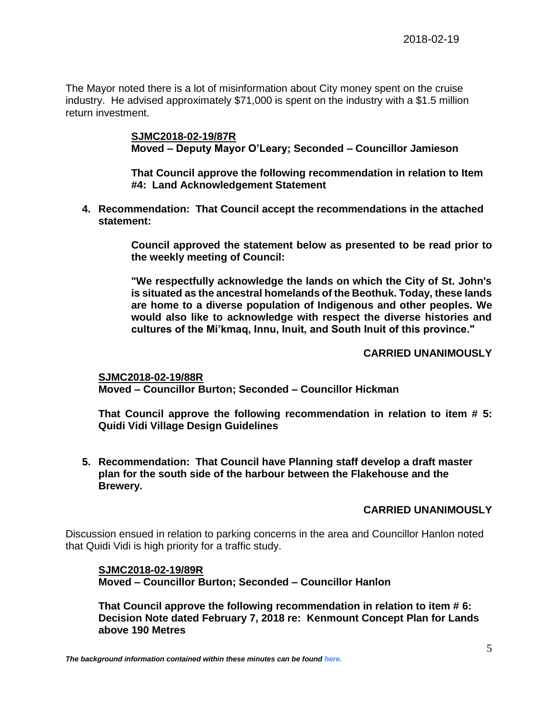The Mayor noted there is a lot of misinformation about City money spent on the cruise industry. He advised approximately \$71,000 is spent on the industry with a \$1.5 million return investment.

> **SJMC2018-02-19/87R Moved – Deputy Mayor O'Leary; Seconded – Councillor Jamieson**

**That Council approve the following recommendation in relation to Item #4: Land Acknowledgement Statement**

**4. Recommendation: That Council accept the recommendations in the attached statement:**

> **Council approved the statement below as presented to be read prior to the weekly meeting of Council:**

> **"We respectfully acknowledge the lands on which the City of St. John's is situated as the ancestral homelands of the Beothuk. Today, these lands are home to a diverse population of Indigenous and other peoples. We would also like to acknowledge with respect the diverse histories and cultures of the Mi'kmaq, Innu, Inuit, and South Inuit of this province."**

# **CARRIED UNANIMOUSLY**

**SJMC2018-02-19/88R Moved – Councillor Burton; Seconded – Councillor Hickman**

**That Council approve the following recommendation in relation to item # 5: Quidi Vidi Village Design Guidelines**

**5. Recommendation: That Council have Planning staff develop a draft master plan for the south side of the harbour between the Flakehouse and the Brewery.**

## **CARRIED UNANIMOUSLY**

Discussion ensued in relation to parking concerns in the area and Councillor Hanlon noted that Quidi Vidi is high priority for a traffic study.

#### **SJMC2018-02-19/89R**

**Moved – Councillor Burton; Seconded – Councillor Hanlon**

**That Council approve the following recommendation in relation to item # 6: Decision Note dated February 7, 2018 re: Kenmount Concept Plan for Lands above 190 Metres**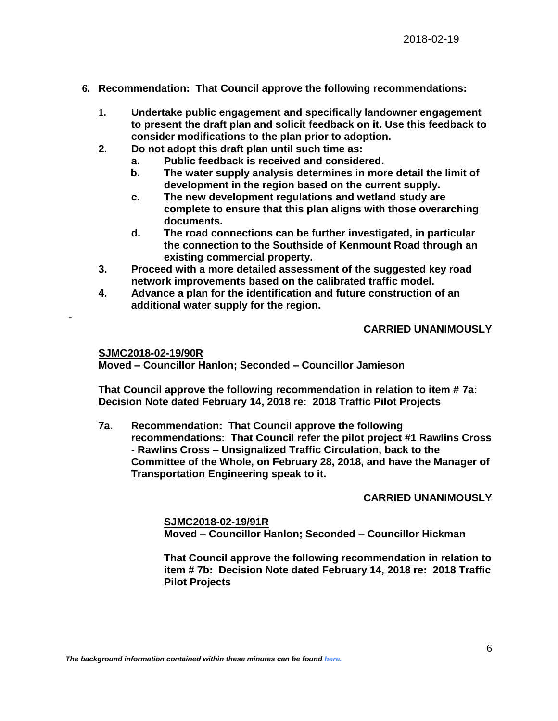- **6. Recommendation: That Council approve the following recommendations:** 
	- **1. Undertake public engagement and specifically landowner engagement to present the draft plan and solicit feedback on it. Use this feedback to consider modifications to the plan prior to adoption.**
	- **2. Do not adopt this draft plan until such time as:**
		- **a. Public feedback is received and considered.**
		- **b. The water supply analysis determines in more detail the limit of development in the region based on the current supply.**
		- **c. The new development regulations and wetland study are complete to ensure that this plan aligns with those overarching documents.**
		- **d. The road connections can be further investigated, in particular the connection to the Southside of Kenmount Road through an existing commercial property.**
	- **3. Proceed with a more detailed assessment of the suggested key road network improvements based on the calibrated traffic model.**
	- **4. Advance a plan for the identification and future construction of an additional water supply for the region.**

# **CARRIED UNANIMOUSLY**

**SJMC2018-02-19/90R**

-

**Moved – Councillor Hanlon; Seconded – Councillor Jamieson**

**That Council approve the following recommendation in relation to item # 7a: Decision Note dated February 14, 2018 re: 2018 Traffic Pilot Projects**

**7a. Recommendation: That Council approve the following recommendations: That Council refer the pilot project #1 Rawlins Cross - Rawlins Cross – Unsignalized Traffic Circulation, back to the Committee of the Whole, on February 28, 2018, and have the Manager of Transportation Engineering speak to it.**

## **CARRIED UNANIMOUSLY**

**SJMC2018-02-19/91R Moved – Councillor Hanlon; Seconded – Councillor Hickman**

**That Council approve the following recommendation in relation to item # 7b: Decision Note dated February 14, 2018 re: 2018 Traffic Pilot Projects**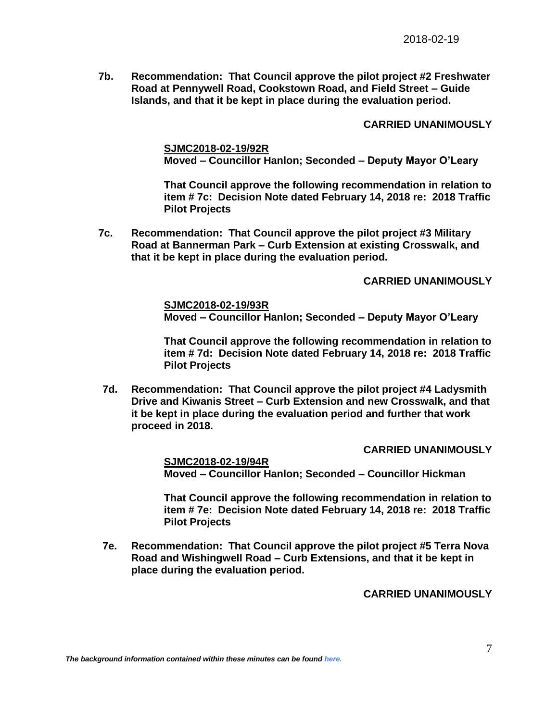**7b. Recommendation: That Council approve the pilot project #2 Freshwater Road at Pennywell Road, Cookstown Road, and Field Street – Guide Islands, and that it be kept in place during the evaluation period.** 

### **CARRIED UNANIMOUSLY**

**SJMC2018-02-19/92R Moved – Councillor Hanlon; Seconded – Deputy Mayor O'Leary**

**That Council approve the following recommendation in relation to item # 7c: Decision Note dated February 14, 2018 re: 2018 Traffic Pilot Projects**

**7c. Recommendation: That Council approve the pilot project #3 Military Road at Bannerman Park – Curb Extension at existing Crosswalk, and that it be kept in place during the evaluation period.**

## **CARRIED UNANIMOUSLY**

**SJMC2018-02-19/93R Moved – Councillor Hanlon; Seconded – Deputy Mayor O'Leary**

**That Council approve the following recommendation in relation to item # 7d: Decision Note dated February 14, 2018 re: 2018 Traffic Pilot Projects**

**7d. Recommendation: That Council approve the pilot project #4 Ladysmith Drive and Kiwanis Street – Curb Extension and new Crosswalk, and that it be kept in place during the evaluation period and further that work proceed in 2018.**

#### **CARRIED UNANIMOUSLY**

**SJMC2018-02-19/94R Moved – Councillor Hanlon; Seconded – Councillor Hickman**

**That Council approve the following recommendation in relation to item # 7e: Decision Note dated February 14, 2018 re: 2018 Traffic Pilot Projects**

**7e. Recommendation: That Council approve the pilot project #5 Terra Nova Road and Wishingwell Road – Curb Extensions, and that it be kept in place during the evaluation period.**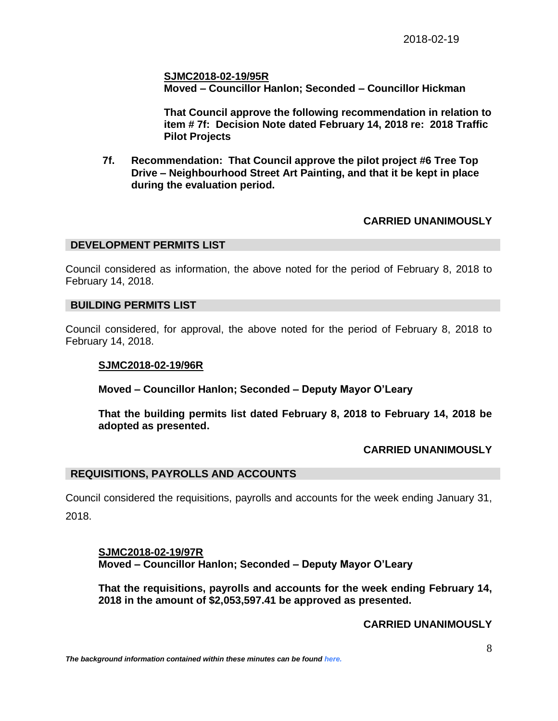**SJMC2018-02-19/95R Moved – Councillor Hanlon; Seconded – Councillor Hickman**

**That Council approve the following recommendation in relation to item # 7f: Decision Note dated February 14, 2018 re: 2018 Traffic Pilot Projects**

**7f. Recommendation: That Council approve the pilot project #6 Tree Top Drive – Neighbourhood Street Art Painting, and that it be kept in place during the evaluation period.**

# **CARRIED UNANIMOUSLY**

#### **DEVELOPMENT PERMITS LIST**

Council considered as information, the above noted for the period of February 8, 2018 to February 14, 2018.

#### **BUILDING PERMITS LIST**

Council considered, for approval, the above noted for the period of February 8, 2018 to February 14, 2018.

#### **SJMC2018-02-19/96R**

**Moved – Councillor Hanlon; Seconded – Deputy Mayor O'Leary**

**That the building permits list dated February 8, 2018 to February 14, 2018 be adopted as presented.**

#### **CARRIED UNANIMOUSLY**

#### **REQUISITIONS, PAYROLLS AND ACCOUNTS**

Council considered the requisitions, payrolls and accounts for the week ending January 31,

2018.

**SJMC2018-02-19/97R Moved – Councillor Hanlon; Seconded – Deputy Mayor O'Leary**

**That the requisitions, payrolls and accounts for the week ending February 14, 2018 in the amount of \$2,053,597.41 be approved as presented.**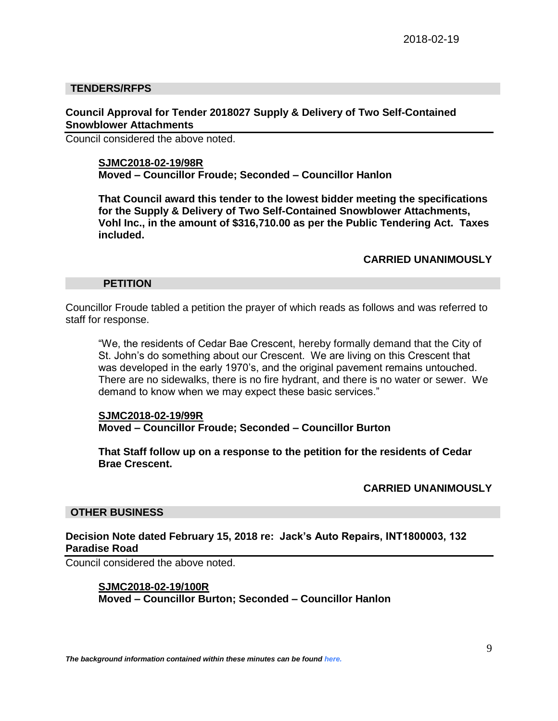### **TENDERS/RFPS**

### **Council Approval for Tender 2018027 Supply & Delivery of Two Self-Contained Snowblower Attachments**

Council considered the above noted.

#### **SJMC2018-02-19/98R**

**Moved – Councillor Froude; Seconded – Councillor Hanlon**

**That Council award this tender to the lowest bidder meeting the specifications for the Supply & Delivery of Two Self-Contained Snowblower Attachments, Vohl Inc., in the amount of \$316,710.00 as per the Public Tendering Act. Taxes included.**

#### **CARRIED UNANIMOUSLY**

#### **PETITION**

Councillor Froude tabled a petition the prayer of which reads as follows and was referred to staff for response.

"We, the residents of Cedar Bae Crescent, hereby formally demand that the City of St. John's do something about our Crescent. We are living on this Crescent that was developed in the early 1970's, and the original pavement remains untouched. There are no sidewalks, there is no fire hydrant, and there is no water or sewer. We demand to know when we may expect these basic services."

#### **SJMC2018-02-19/99R Moved – Councillor Froude; Seconded – Councillor Burton**

**That Staff follow up on a response to the petition for the residents of Cedar Brae Crescent.**

#### **CARRIED UNANIMOUSLY**

#### **OTHER BUSINESS**

### **Decision Note dated February 15, 2018 re: Jack's Auto Repairs, INT1800003, 132 Paradise Road**

Council considered the above noted.

### **SJMC2018-02-19/100R**

**Moved – Councillor Burton; Seconded – Councillor Hanlon**